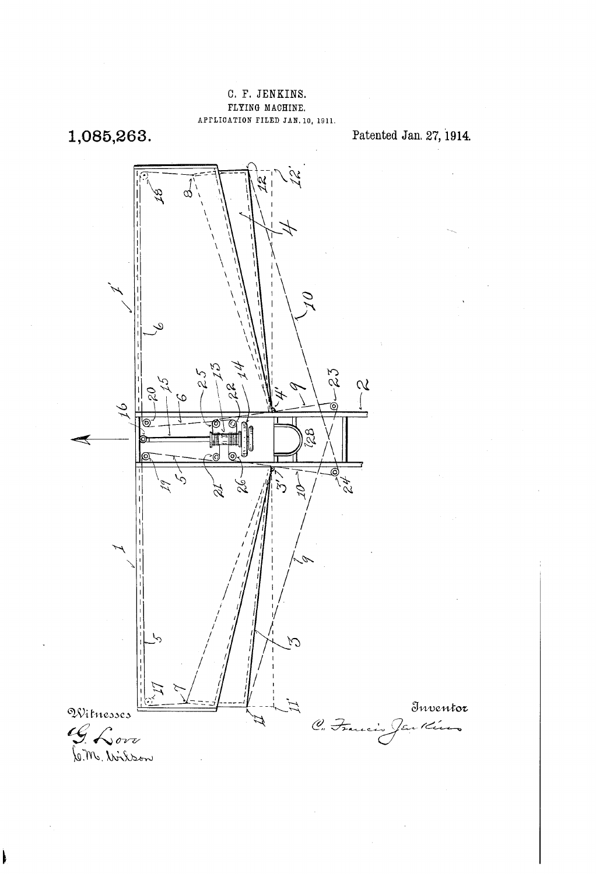## C. F. JENKINS. FLYING MACHINE. APPLICATION FILED JAN. 10, 1911.

1,085,263.

 $\mathbf k$ 

Patented Jan. 27, 1914.

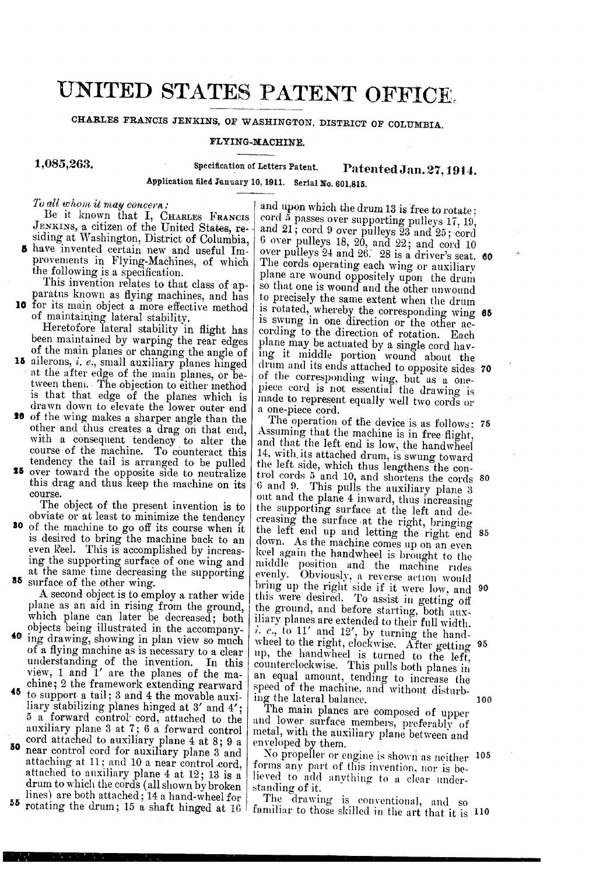## UNITED STATES PATENT OFFICE.

CHARLES FRANCIS JENKINS, OF WASHINGTON, DISTRICT OF COLUMBIA.

## FLYING-MACHINE.

1,085,263.

Specification of Letters Patent. Patented Jan. 27, 1914.

Application filed January 10, 1911. Serial No. 601,815.

 $To$  all whom it may concern:

Be it known that I, CHARLES FRANCIS JENKINS, a citizen of the United States, re-

paratus known as flying machines, and has<br>10 for its main object a more effective method

- 15 ailerons, i. e., small auxiliary planes hinged of maintaining lateral stability.<br>Heretofore lateral stability in flight has<br>been maintained by warping the rear edges<br>of the main planes or changing the angle of<br>ailerons, *i. e.*, small auxiliary planes hinged<br>at the af tween them. The objection to either method<br>is that that edge of the planes which is drawn down to elevate the lower outer end
- **10** of the wing makes a sharper angle than the other and thus creates a drag on that end, with a consequent tendency to alter the course of the machine. To counteract this tendency the tail is arranged to be pulled<br>**25** over toward the opposite side to neutralize
- this drag and thus keep the machine on its course.<br>The object of the present invention is to

**So** of the machine to go off its course when it is desired to bring the machine back to an even keel. This is accomplished by increas-

- objects being illustrated in the accompany-<br>40 ing drawing, showing in plan view so much ing the supporting surface of one wing and<br>at the same time decreasing the supporting<br>**35** surface of the other wing.<br>A second object is to employ a rather wide<br>plane as an aid in rising from the ground,<br>which plane can l
- <sup>45</sup> to support a tail; 3 and 4 the movable auxi-<br>liary stabilizing planes hinged at  $3'$  and  $4'$ ; SO 5 a forward control cord, attached to the auxiliary plane 3 at ; 6 a forward control cord attached to auxiliary plane 4 at 8; 9 a near control cord for auxiliary plane 3 and attached to auxiliary plane 4 at 12; 13 is a drum to which the cords (all shown by broken<br>lines) are both attached; 14 a hand-wheel for

SS lines) are both attached; 14 a hand-wheel for rotating the drum; 15 a shaft hinged at 16

JENKINs, a citizen of the United States, re siding at Washington, District of Columbia, have invented certain new and useful Im provements in Flying-Machines, of which the following is a specification. This invention relates to that class of ap paratus known as flying machines, and has and upon which the drum 13 is free to rotate; cord 5 passes over supporting pulleys  $17, 19$ , and  $21$ ; cord 9 over pulleys  $23$  and  $25$ ; cord 6 over pulleys 18, 20, and 22; and cord 10 The cords operating each wing or auxiliary plane are wound oppositely upon the drum so that one is wound and the other unwound to precisely the same extent when the drum<br>is rotated, whereby the corresponding wing<br>is swung in one direction or the other ac-<br>cording to the direction of rotation. Each<br>plane may be actuated by a single cord hav-<br>ing it of the corresponding wing, but as a one-<br>piece cord is not essential the drawing is<br>made to represent equally well two cords or a one-piece cord. over pulleys 24 and 26. 28 is a driver's seat. 60 70

Assuming that the machine is in free-flight, and that the left end is low, the handwheel 14, with its attached drum, is swung toward the left side, which thus lengthens the con- $6$  and  $9$ . This pulls the auxiliary plane 3 out and the plane 4 inward, thus increasing out and the plane 4 inward, thus increasing<br>the supporting surface at the left and de-<br>creasing the surface at the right, bringing<br>the left end up and letting the right end 85 down. As the machine comes up on an even keel again the handwheel is brought to the middle position and the machine rides evenly. Obviously, a reverse action would this were desired. To assist in getting off<br>the ground, and before starting, both aux-<br>iliary planes are extended to their full width.<br>*i. e.*, to 11' and 12', by turning the hand-<br>wheel to the right, clockwise. After get up, the handwheel is turned to the left,<br>counterclockwise. This pulls both planes in an equal amount, tending to increase the speed of the machine, and without disturbing the lateral balance.<br>The main planes are composed of upper The operation of the device is as follows: 75 trol cords 5 and 10, and shortens the cords 80 bring up the right side if it were low, and 90 wheel to the right, clockwise. After getting 95

and lower surface members, preferably of metal, with the auxiliary plane between and enveloped by them.

No propeller or engine is shown as neither 105 forms any part of this invention, nor is believed to add anything to a clear under-<br>standing of it.

The drawing is conventional, and so familiar to those skilled in the art that it is 10

-

100